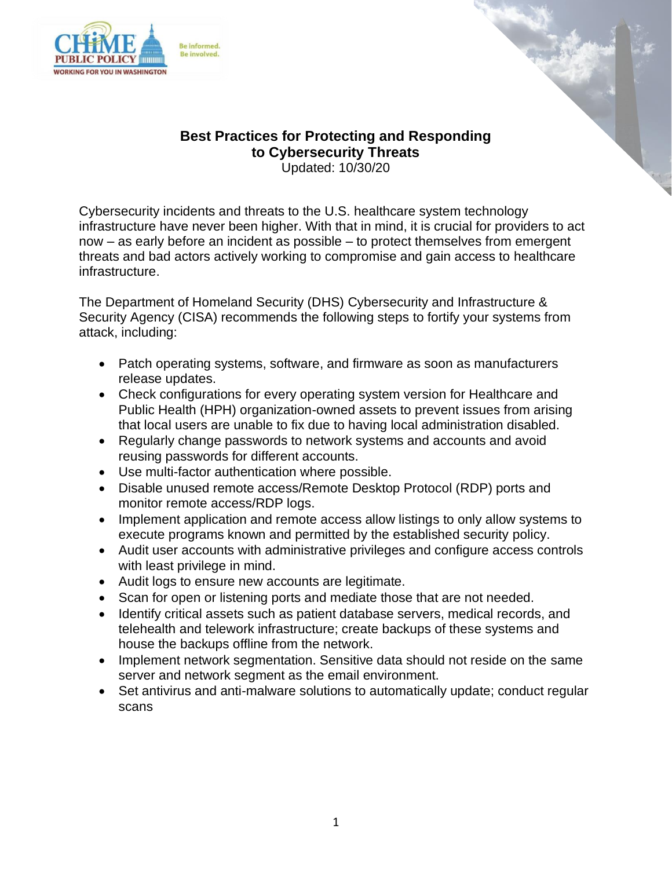



## **Best Practices for Protecting and Responding to Cybersecurity Threats**

Updated: 10/30/20

Cybersecurity incidents and threats to the U.S. healthcare system technology infrastructure have never been higher. With that in mind, it is crucial for providers to act now – as early before an incident as possible – to protect themselves from emergent threats and bad actors actively working to compromise and gain access to healthcare infrastructure.

The Department of Homeland Security (DHS) Cybersecurity and Infrastructure & Security Agency (CISA) recommends the following steps to fortify your systems from attack, including:

- Patch operating systems, software, and firmware as soon as manufacturers release updates.
- Check configurations for every operating system version for Healthcare and Public Health (HPH) organization-owned assets to prevent issues from arising that local users are unable to fix due to having local administration disabled.
- Regularly change passwords to network systems and accounts and avoid reusing passwords for different accounts.
- Use multi-factor authentication where possible.
- Disable unused remote access/Remote Desktop Protocol (RDP) ports and monitor remote access/RDP logs.
- Implement application and remote access allow listings to only allow systems to execute programs known and permitted by the established security policy.
- Audit user accounts with administrative privileges and configure access controls with least privilege in mind.
- Audit logs to ensure new accounts are legitimate.
- Scan for open or listening ports and mediate those that are not needed.
- Identify critical assets such as patient database servers, medical records, and telehealth and telework infrastructure; create backups of these systems and house the backups offline from the network.
- Implement network segmentation. Sensitive data should not reside on the same server and network segment as the email environment.
- Set antivirus and anti-malware solutions to automatically update; conduct regular scans